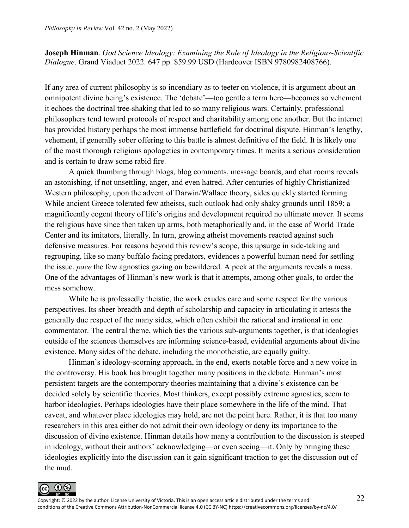**Joseph Hinman**. *God Science Ideology: Examining the Role of Ideology in the Religious-Scientific Dialogue*. Grand Viaduct 2022. 647 pp. \$59.99 USD (Hardcover ISBN 9780982408766).

If any area of current philosophy is so incendiary as to teeter on violence, it is argument about an omnipotent divine being's existence. The 'debate'—too gentle a term here—becomes so vehement it echoes the doctrinal tree-shaking that led to so many religious wars. Certainly, professional philosophers tend toward protocols of respect and charitability among one another. But the internet has provided history perhaps the most immense battlefield for doctrinal dispute. Hinman's lengthy, vehement, if generally sober offering to this battle is almost definitive of the field. It is likely one of the most thorough religious apologetics in contemporary times. It merits a serious consideration and is certain to draw some rabid fire.

A quick thumbing through blogs, blog comments, message boards, and chat rooms reveals an astonishing, if not unsettling, anger, and even hatred. After centuries of highly Christianized Western philosophy, upon the advent of Darwin/Wallace theory, sides quickly started forming. While ancient Greece tolerated few atheists, such outlook had only shaky grounds until 1859: a magnificently cogent theory of life's origins and development required no ultimate mover. It seems the religious have since then taken up arms, both metaphorically and, in the case of World Trade Center and its imitators, literally. In turn, growing atheist movements reacted against such defensive measures. For reasons beyond this review's scope, this upsurge in side-taking and regrouping, like so many buffalo facing predators, evidences a powerful human need for settling the issue, *pace* the few agnostics gazing on bewildered. A peek at the arguments reveals a mess. One of the advantages of Hinman's new work is that it attempts, among other goals, to order the mess somehow.

While he is professedly theistic, the work exudes care and some respect for the various perspectives. Its sheer breadth and depth of scholarship and capacity in articulating it attests the generally due respect of the many sides, which often exhibit the rational and irrational in one commentator. The central theme, which ties the various sub-arguments together, is that ideologies outside of the sciences themselves are informing science-based, evidential arguments about divine existence. Many sides of the debate, including the monotheistic, are equally guilty.

Hinman's ideology-scorning approach, in the end, exerts notable force and a new voice in the controversy. His book has brought together many positions in the debate. Hinman's most persistent targets are the contemporary theories maintaining that a divine's existence can be decided solely by scientific theories. Most thinkers, except possibly extreme agnostics, seem to harbor ideologies. Perhaps ideologies have their place somewhere in the life of the mind. That caveat, and whatever place ideologies may hold, are not the point here. Rather, it is that too many researchers in this area either do not admit their own ideology or deny its importance to the discussion of divine existence. Hinman details how many a contribution to the discussion is steeped in ideology, without their authors' acknowledging—or even seeing—it. Only by bringing these ideologies explicitly into the discussion can it gain significant traction to get the discussion out of the mud.

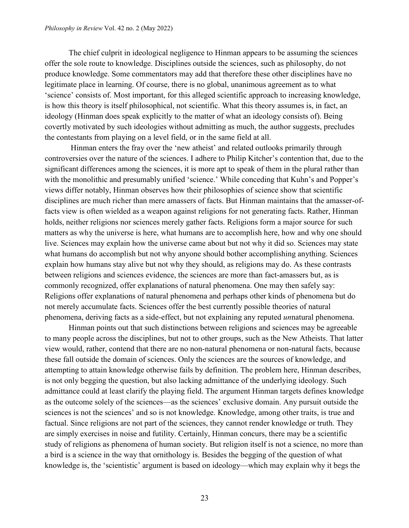The chief culprit in ideological negligence to Hinman appears to be assuming the sciences offer the sole route to knowledge. Disciplines outside the sciences, such as philosophy, do not produce knowledge. Some commentators may add that therefore these other disciplines have no legitimate place in learning. Of course, there is no global, unanimous agreement as to what 'science' consists of. Most important, for this alleged scientific approach to increasing knowledge, is how this theory is itself philosophical, not scientific. What this theory assumes is, in fact, an ideology (Hinman does speak explicitly to the matter of what an ideology consists of). Being covertly motivated by such ideologies without admitting as much, the author suggests, precludes the contestants from playing on a level field, or in the same field at all.

Hinman enters the fray over the 'new atheist' and related outlooks primarily through controversies over the nature of the sciences. I adhere to Philip Kitcher's contention that, due to the significant differences among the sciences, it is more apt to speak of them in the plural rather than with the monolithic and presumably unified 'science.' While conceding that Kuhn's and Popper's views differ notably, Hinman observes how their philosophies of science show that scientific disciplines are much richer than mere amassers of facts. But Hinman maintains that the amasser-offacts view is often wielded as a weapon against religions for not generating facts. Rather, Hinman holds, neither religions nor sciences merely gather facts. Religions form a major source for such matters as why the universe is here, what humans are to accomplish here, how and why one should live. Sciences may explain how the universe came about but not why it did so. Sciences may state what humans do accomplish but not why anyone should bother accomplishing anything. Sciences explain how humans stay alive but not why they should, as religions may do. As these contrasts between religions and sciences evidence, the sciences are more than fact-amassers but, as is commonly recognized, offer explanations of natural phenomena. One may then safely say: Religions offer explanations of natural phenomena and perhaps other kinds of phenomena but do not merely accumulate facts. Sciences offer the best currently possible theories of natural phenomena, deriving facts as a side-effect, but not explaining any reputed *un*natural phenomena.

Hinman points out that such distinctions between religions and sciences may be agreeable to many people across the disciplines, but not to other groups, such as the New Atheists. That latter view would, rather, contend that there are no non-natural phenomena or non-natural facts, because these fall outside the domain of sciences. Only the sciences are the sources of knowledge, and attempting to attain knowledge otherwise fails by definition. The problem here, Hinman describes, is not only begging the question, but also lacking admittance of the underlying ideology. Such admittance could at least clarify the playing field. The argument Hinman targets defines knowledge as the outcome solely of the sciences—as the sciences' exclusive domain. Any pursuit outside the sciences is not the sciences' and so is not knowledge. Knowledge, among other traits, is true and factual. Since religions are not part of the sciences, they cannot render knowledge or truth. They are simply exercises in noise and futility. Certainly, Hinman concurs, there may be a scientific study of religions as phenomena of human society. But religion itself is not a science, no more than a bird is a science in the way that ornithology is. Besides the begging of the question of what knowledge is, the 'scientistic' argument is based on ideology—which may explain why it begs the